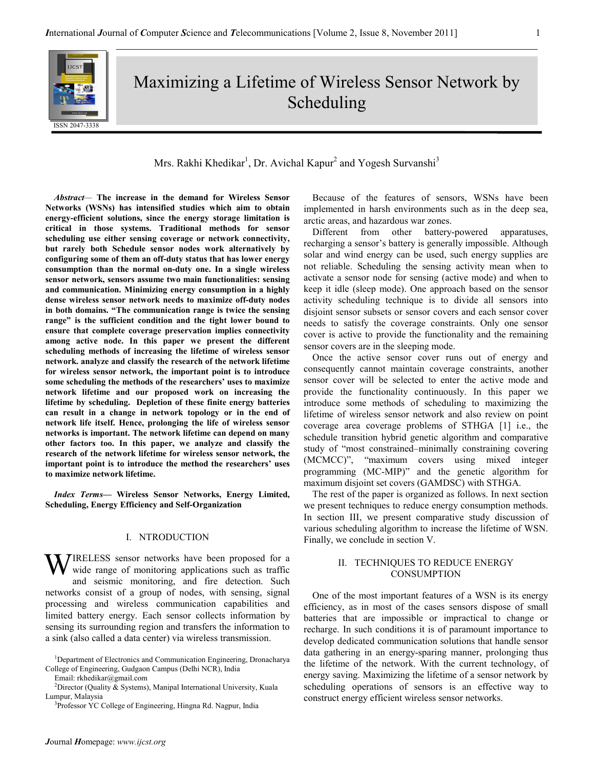# Maximizing a Lifetime of Wireless Sensor Network by Scheduling

# Mrs. Rakhi Khedikar<sup>1</sup>, Dr. Avichal Kapur<sup>2</sup> and Yogesh Survanshi<sup>3</sup>

Abstract— The increase in the demand for Wireless Sensor Networks (WSNs) has intensified studies which aim to obtain energy-efficient solutions, since the energy storage limitation is critical in those systems. Traditional methods for sensor scheduling use either sensing coverage or network connectivity, but rarely both Schedule sensor nodes work alternatively by configuring some of them an off-duty status that has lower energy consumption than the normal on-duty one. In a single wireless sensor network, sensors assume two main functionalities: sensing and communication. Minimizing energy consumption in a highly dense wireless sensor network needs to maximize off-duty nodes in both domains. "The communication range is twice the sensing range" is the sufficient condition and the tight lower bound to ensure that complete coverage preservation implies connectivity among active node. In this paper we present the different scheduling methods of increasing the lifetime of wireless sensor network. analyze and classify the research of the network lifetime for wireless sensor network, the important point is to introduce some scheduling the methods of the researchers' uses to maximize network lifetime and our proposed work on increasing the lifetime by scheduling. Depletion of these finite energy batteries can result in a change in network topology or in the end of network life itself. Hence, prolonging the life of wireless sensor networks is important. The network lifetime can depend on many other factors too. In this paper, we analyze and classify the research of the network lifetime for wireless sensor network, the important point is to introduce the method the researchers' uses to maximize network lifetime.

Index Terms— Wireless Sensor Networks, Energy Limited, Scheduling, Energy Efficiency and Self-Organization

### I. NTRODUCTION

WIRELESS sensor networks have been proposed for a wide range of monitoring applications such as traffic wide range of monitoring applications such as traffic and seismic monitoring, and fire detection. Such networks consist of a group of nodes, with sensing, signal processing and wireless communication capabilities and limited battery energy. Each sensor collects information by sensing its surrounding region and transfers the information to a sink (also called a data center) via wireless transmission.

Email: rkhedikar@gmail.com

<sup>3</sup>Professor YC College of Engineering, Hingna Rd. Nagpur, India

Because of the features of sensors, WSNs have been implemented in harsh environments such as in the deep sea, arctic areas, and hazardous war zones.

Different from other battery-powered apparatuses, recharging a sensor's battery is generally impossible. Although solar and wind energy can be used, such energy supplies are not reliable. Scheduling the sensing activity mean when to activate a sensor node for sensing (active mode) and when to keep it idle (sleep mode). One approach based on the sensor activity scheduling technique is to divide all sensors into disjoint sensor subsets or sensor covers and each sensor cover needs to satisfy the coverage constraints. Only one sensor cover is active to provide the functionality and the remaining sensor covers are in the sleeping mode.

Once the active sensor cover runs out of energy and consequently cannot maintain coverage constraints, another sensor cover will be selected to enter the active mode and provide the functionality continuously. In this paper we introduce some methods of scheduling to maximizing the lifetime of wireless sensor network and also review on point coverage area coverage problems of STHGA [1] i.e., the schedule transition hybrid genetic algorithm and comparative study of "most constrained–minimally constraining covering (MCMCC)", "maximum covers using mixed integer programming (MC-MIP)" and the genetic algorithm for maximum disjoint set covers (GAMDSC) with STHGA.

The rest of the paper is organized as follows. In next section we present techniques to reduce energy consumption methods. In section III, we present comparative study discussion of various scheduling algorithm to increase the lifetime of WSN. Finally, we conclude in section V.

# II. TECHNIQUES TO REDUCE ENERGY CONSUMPTION

One of the most important features of a WSN is its energy efficiency, as in most of the cases sensors dispose of small batteries that are impossible or impractical to change or recharge. In such conditions it is of paramount importance to develop dedicated communication solutions that handle sensor data gathering in an energy-sparing manner, prolonging thus the lifetime of the network. With the current technology, of energy saving. Maximizing the lifetime of a sensor network by scheduling operations of sensors is an effective way to construct energy efficient wireless sensor networks.

<sup>&</sup>lt;sup>1</sup>Department of Electronics and Communication Engineering, Dronacharya College of Engineering, Gudgaon Campus (Delhi NCR), India

<sup>&</sup>lt;sup>2</sup>Director (Quality & Systems), Manipal International University, Kuala Lumpur, Malaysia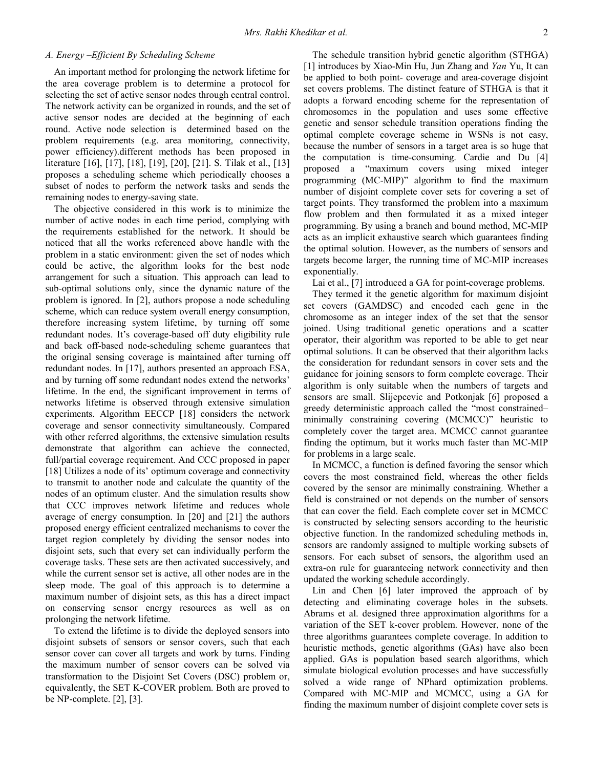# A. Energy –Efficient By Scheduling Scheme

An important method for prolonging the network lifetime for the area coverage problem is to determine a protocol for selecting the set of active sensor nodes through central control. The network activity can be organized in rounds, and the set of active sensor nodes are decided at the beginning of each round. Active node selection is determined based on the problem requirements (e.g. area monitoring, connectivity, power efficiency).different methods has been proposed in literature [16], [17], [18], [19], [20], [21]. S. Tilak et al., [13] proposes a scheduling scheme which periodically chooses a subset of nodes to perform the network tasks and sends the remaining nodes to energy-saving state.

The objective considered in this work is to minimize the number of active nodes in each time period, complying with the requirements established for the network. It should be noticed that all the works referenced above handle with the problem in a static environment: given the set of nodes which could be active, the algorithm looks for the best node arrangement for such a situation. This approach can lead to sub-optimal solutions only, since the dynamic nature of the problem is ignored. In [2], authors propose a node scheduling scheme, which can reduce system overall energy consumption, therefore increasing system lifetime, by turning off some redundant nodes. It's coverage-based off duty eligibility rule and back off-based node-scheduling scheme guarantees that the original sensing coverage is maintained after turning off redundant nodes. In [17], authors presented an approach ESA, and by turning off some redundant nodes extend the networks' lifetime. In the end, the significant improvement in terms of networks lifetime is observed through extensive simulation experiments. Algorithm EECCP [18] considers the network coverage and sensor connectivity simultaneously. Compared with other referred algorithms, the extensive simulation results demonstrate that algorithm can achieve the connected, full/partial coverage requirement. And CCC proposed in paper [18] Utilizes a node of its' optimum coverage and connectivity to transmit to another node and calculate the quantity of the nodes of an optimum cluster. And the simulation results show that CCC improves network lifetime and reduces whole average of energy consumption. In [20] and [21] the authors proposed energy efficient centralized mechanisms to cover the target region completely by dividing the sensor nodes into disjoint sets, such that every set can individually perform the coverage tasks. These sets are then activated successively, and while the current sensor set is active, all other nodes are in the sleep mode. The goal of this approach is to determine a maximum number of disjoint sets, as this has a direct impact on conserving sensor energy resources as well as on prolonging the network lifetime.

To extend the lifetime is to divide the deployed sensors into disjoint subsets of sensors or sensor covers, such that each sensor cover can cover all targets and work by turns. Finding the maximum number of sensor covers can be solved via transformation to the Disjoint Set Covers (DSC) problem or, equivalently, the SET K-COVER problem. Both are proved to be NP-complete. [2], [3].

The schedule transition hybrid genetic algorithm (STHGA) [1] introduces by Xiao-Min Hu, Jun Zhang and Yan Yu, It can be applied to both point- coverage and area-coverage disjoint set covers problems. The distinct feature of STHGA is that it adopts a forward encoding scheme for the representation of chromosomes in the population and uses some effective genetic and sensor schedule transition operations finding the optimal complete coverage scheme in WSNs is not easy, because the number of sensors in a target area is so huge that the computation is time-consuming. Cardie and Du [4] proposed a "maximum covers using mixed integer programming (MC-MIP)" algorithm to find the maximum number of disjoint complete cover sets for covering a set of target points. They transformed the problem into a maximum flow problem and then formulated it as a mixed integer programming. By using a branch and bound method, MC-MIP acts as an implicit exhaustive search which guarantees finding the optimal solution. However, as the numbers of sensors and targets become larger, the running time of MC-MIP increases exponentially.

Lai et al., [7] introduced a GA for point-coverage problems.

They termed it the genetic algorithm for maximum disjoint set covers (GAMDSC) and encoded each gene in the chromosome as an integer index of the set that the sensor joined. Using traditional genetic operations and a scatter operator, their algorithm was reported to be able to get near optimal solutions. It can be observed that their algorithm lacks the consideration for redundant sensors in cover sets and the guidance for joining sensors to form complete coverage. Their algorithm is only suitable when the numbers of targets and sensors are small. Slijepcevic and Potkonjak [6] proposed a greedy deterministic approach called the "most constrained– minimally constraining covering (MCMCC)" heuristic to completely cover the target area. MCMCC cannot guarantee finding the optimum, but it works much faster than MC-MIP for problems in a large scale.

In MCMCC, a function is defined favoring the sensor which covers the most constrained field, whereas the other fields covered by the sensor are minimally constraining. Whether a field is constrained or not depends on the number of sensors that can cover the field. Each complete cover set in MCMCC is constructed by selecting sensors according to the heuristic objective function. In the randomized scheduling methods in, sensors are randomly assigned to multiple working subsets of sensors. For each subset of sensors, the algorithm used an extra-on rule for guaranteeing network connectivity and then updated the working schedule accordingly.

Lin and Chen [6] later improved the approach of by detecting and eliminating coverage holes in the subsets. Abrams et al. designed three approximation algorithms for a variation of the SET k-cover problem. However, none of the three algorithms guarantees complete coverage. In addition to heuristic methods, genetic algorithms (GAs) have also been applied. GAs is population based search algorithms, which simulate biological evolution processes and have successfully solved a wide range of NPhard optimization problems. Compared with MC-MIP and MCMCC, using a GA for finding the maximum number of disjoint complete cover sets is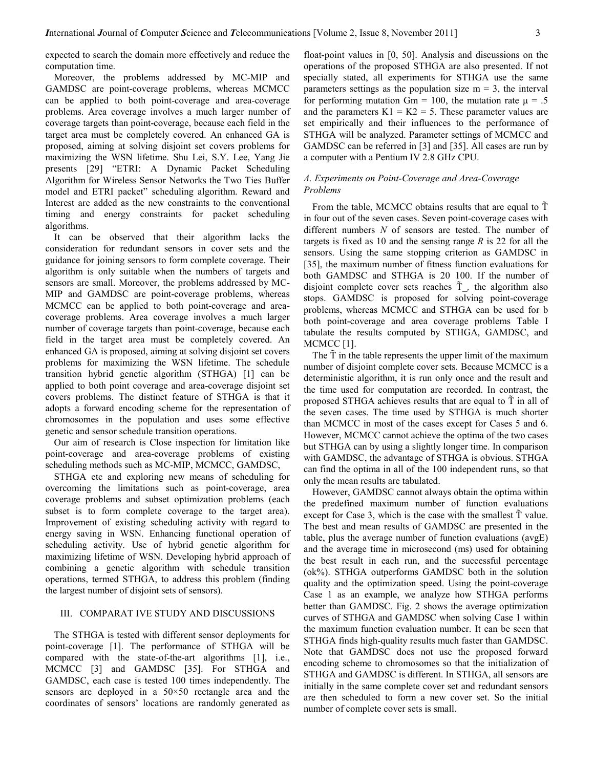expected to search the domain more effectively and reduce the computation time.

Moreover, the problems addressed by MC-MIP and GAMDSC are point-coverage problems, whereas MCMCC can be applied to both point-coverage and area-coverage problems. Area coverage involves a much larger number of coverage targets than point-coverage, because each field in the target area must be completely covered. An enhanced GA is proposed, aiming at solving disjoint set covers problems for maximizing the WSN lifetime. Shu Lei, S.Y. Lee, Yang Jie presents [29] "ETRI: A Dynamic Packet Scheduling Algorithm for Wireless Sensor Networks the Two Ties Buffer model and ETRI packet" scheduling algorithm. Reward and Interest are added as the new constraints to the conventional timing and energy constraints for packet scheduling algorithms.

It can be observed that their algorithm lacks the consideration for redundant sensors in cover sets and the guidance for joining sensors to form complete coverage. Their algorithm is only suitable when the numbers of targets and sensors are small. Moreover, the problems addressed by MC-MIP and GAMDSC are point-coverage problems, whereas MCMCC can be applied to both point-coverage and areacoverage problems. Area coverage involves a much larger number of coverage targets than point-coverage, because each field in the target area must be completely covered. An enhanced GA is proposed, aiming at solving disjoint set covers problems for maximizing the WSN lifetime. The schedule transition hybrid genetic algorithm (STHGA) [1] can be applied to both point coverage and area-coverage disjoint set covers problems. The distinct feature of STHGA is that it adopts a forward encoding scheme for the representation of chromosomes in the population and uses some effective genetic and sensor schedule transition operations.

Our aim of research is Close inspection for limitation like point-coverage and area-coverage problems of existing scheduling methods such as MC-MIP, MCMCC, GAMDSC,

STHGA etc and exploring new means of scheduling for overcoming the limitations such as point-coverage, area coverage problems and subset optimization problems (each subset is to form complete coverage to the target area). Improvement of existing scheduling activity with regard to energy saving in WSN. Enhancing functional operation of scheduling activity. Use of hybrid genetic algorithm for maximizing lifetime of WSN. Developing hybrid approach of combining a genetic algorithm with schedule transition operations, termed STHGA, to address this problem (finding the largest number of disjoint sets of sensors).

# III. COMPARAT IVE STUDY AND DISCUSSIONS

The STHGA is tested with different sensor deployments for point-coverage [1]. The performance of STHGA will be compared with the state-of-the-art algorithms [1], i.e., MCMCC [3] and GAMDSC [35]. For STHGA and GAMDSC, each case is tested 100 times independently. The sensors are deployed in a 50×50 rectangle area and the coordinates of sensors' locations are randomly generated as float-point values in [0, 50]. Analysis and discussions on the operations of the proposed STHGA are also presented. If not specially stated, all experiments for STHGA use the same parameters settings as the population size  $m = 3$ , the interval for performing mutation Gm = 100, the mutation rate  $\mu = .5$ and the parameters  $K1 = K2 = 5$ . These parameter values are set empirically and their influences to the performance of STHGA will be analyzed. Parameter settings of MCMCC and GAMDSC can be referred in [3] and [35]. All cases are run by a computer with a Pentium IV 2.8 GHz CPU.

#### A. Experiments on Point-Coverage and Area-Coverage Problems

From the table, MCMCC obtains results that are equal to  $\tilde{T}$ in four out of the seven cases. Seven point-coverage cases with different numbers  $N$  of sensors are tested. The number of targets is fixed as 10 and the sensing range  $R$  is 22 for all the sensors. Using the same stopping criterion as GAMDSC in [35], the maximum number of fitness function evaluations for both GAMDSC and STHGA is 20 100. If the number of disjoint complete cover sets reaches  $\tilde{T}$ , the algorithm also stops. GAMDSC is proposed for solving point-coverage problems, whereas MCMCC and STHGA can be used for b both point-coverage and area coverage problems Table I tabulate the results computed by STHGA, GAMDSC, and MCMCC<sub>[1]</sub>.

The  $\tilde{T}$  in the table represents the upper limit of the maximum number of disjoint complete cover sets. Because MCMCC is a deterministic algorithm, it is run only once and the result and the time used for computation are recorded. In contrast, the proposed STHGA achieves results that are equal to  $\tilde{T}$  in all of the seven cases. The time used by STHGA is much shorter than MCMCC in most of the cases except for Cases 5 and 6. However, MCMCC cannot achieve the optima of the two cases but STHGA can by using a slightly longer time. In comparison with GAMDSC, the advantage of STHGA is obvious. STHGA can find the optima in all of the 100 independent runs, so that only the mean results are tabulated.

However, GAMDSC cannot always obtain the optima within the predefined maximum number of function evaluations except for Case 3, which is the case with the smallest  $\tilde{T}$  value. The best and mean results of GAMDSC are presented in the table, plus the average number of function evaluations (avgE) and the average time in microsecond (ms) used for obtaining the best result in each run, and the successful percentage (ok%). STHGA outperforms GAMDSC both in the solution quality and the optimization speed. Using the point-coverage Case 1 as an example, we analyze how STHGA performs better than GAMDSC. Fig. 2 shows the average optimization curves of STHGA and GAMDSC when solving Case 1 within the maximum function evaluation number. It can be seen that STHGA finds high-quality results much faster than GAMDSC. Note that GAMDSC does not use the proposed forward encoding scheme to chromosomes so that the initialization of STHGA and GAMDSC is different. In STHGA, all sensors are initially in the same complete cover set and redundant sensors are then scheduled to form a new cover set. So the initial number of complete cover sets is small.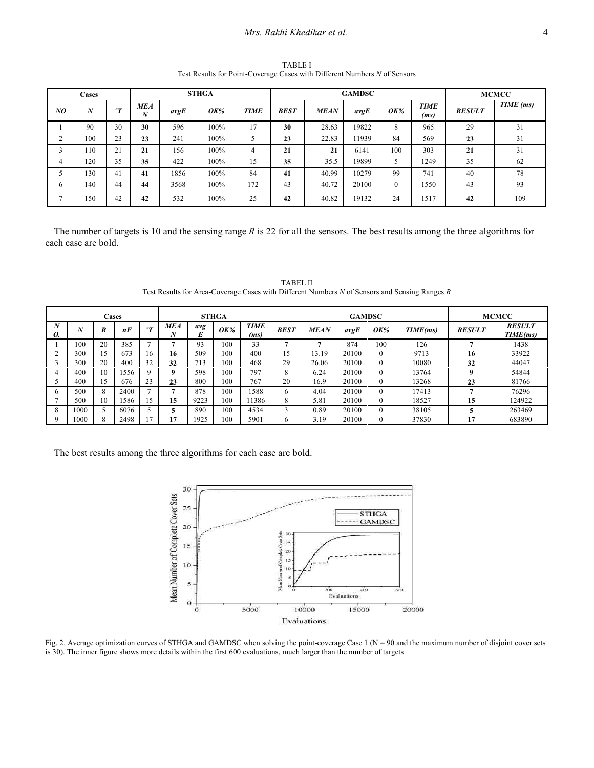# Mrs. Rakhi Khedikar et al. 4

TABLE I Test Results for Point-Coverage Cases with Different Numbers N of Sensors

| Cases  |                  |        |                 |      | <b>STHGA</b> |             |             | <b>GAMDSC</b> | <b>MCMCC</b> |                |                     |               |           |
|--------|------------------|--------|-----------------|------|--------------|-------------|-------------|---------------|--------------|----------------|---------------------|---------------|-----------|
| NO     | $\boldsymbol{N}$ | $\sim$ | <b>MEA</b><br>N | avgE | <i>OK%</i>   | <b>TIME</b> | <b>BEST</b> | <b>MEAN</b>   | avgE         | <b>OK%</b>     | <b>TIME</b><br>(ms) | <b>RESULT</b> | TIME (ms) |
|        | 90               | 30     | 30              | 596  | 100%         | 17          | 30          | 28.63         | 19822        | 8              | 965                 | 29            | 31        |
| $\sim$ | 100              | 23     | 23              | 241  | 100%         |             | 23          | 22.83         | 11939        | 84             | 569                 | 23            | 31        |
| 3      | 110              | 21     | 21              | 156  | 100%         | 4           | 21          | 21            | 6141         | 100            | 303                 | 21            | 31        |
| 4      | 120              | 35     | 35              | 422  | 100%         | 15          | 35          | 35.5          | 19899        |                | 1249                | 35            | 62        |
| - 1    | 130              | 41     | 41              | 1856 | 100%         | 84          | 41          | 40.99         | 10279        | 99             | 741                 | 40            | 78        |
| 6      | 140              | 44     | 44              | 3568 | 100%         | 172         | 43          | 40.72         | 20100        | $\overline{0}$ | 1550                | 43            | 93        |
| Ξ      | 150              | 42     | 42              | 532  | 100%         | 25          | 42          | 40.82         | 19132        | 24             | 1517                | 42            | 109       |

The number of targets is 10 and the sensing range  $R$  is 22 for all the sensors. The best results among the three algorithms for each case are bold.

|    |      | Cases |      |             | <b>STHGA</b> |      |            |                     |             |             | <b>GAMDSC</b> | <b>MCMCC</b> |          |               |                           |
|----|------|-------|------|-------------|--------------|------|------------|---------------------|-------------|-------------|---------------|--------------|----------|---------------|---------------------------|
| 0. |      | R     | nF   | $\sim$      | MEA<br>Δ     | avg  | <b>OK%</b> | <b>TIME</b><br>(ms) | <b>BEST</b> | <b>MEAN</b> | avgE          | <b>OK%</b>   | TIME(ms) | <b>RESULT</b> | <b>RESULT</b><br>TIME(ms) |
|    | 100  | 20    | 385  |             |              | 93   | 100        | 33                  |             |             | 874           | 100          | 126      |               | 1438                      |
|    | 300  | 15    | 673  | 16          | 16           | 509  | 100        | 400                 | 15          | 13.19       | 20100         |              | 9713     | 16            | 33922                     |
|    | 300  | 20    | 400  | 32          | 32           | 713  | 100        | 468                 | 29          | 26.06       | 20100         |              | 10080    | 32            | 44047                     |
| 4  | 400  | 10    | 1556 | $\mathbf Q$ | $\bf{o}$     | 598  | 100        | 797                 | 8           | 6.24        | 20100         |              | 13764    |               | 54844                     |
|    | 400  | .5    | 676  | 23          | 23           | 800  | 100        | 767                 | 20          | 16.9        | 20100         |              | 13268    | 23            | 81766                     |
| 6  | 500  | 8     | 2400 |             |              | 878  | 100        | 1588                | 6           | 4.04        | 20100         |              | 17413    |               | 76296                     |
|    | 500  | 10    | 1586 | 15          | 15           | 9223 | 100        | 11386               | 8           | 5.81        | 20100         |              | 18527    | 15            | 124922                    |
| 8  | 1000 |       | 6076 |             |              | 890  | 100        | 4534                |             | 0.89        | 20100         |              | 38105    |               | 263469                    |
|    | 1000 | 8     | 2498 |             |              | 1925 | 100        | 5901                | O           | 3.19        | 20100         |              | 37830    | 17            | 683890                    |

TABEL II Test Results for Area-Coverage Cases with Different Numbers N of Sensors and Sensing Ranges R

The best results among the three algorithms for each case are bold.



Fig. 2. Average optimization curves of STHGA and GAMDSC when solving the point-coverage Case 1 (N = 90 and the maximum number of disjoint cover sets is 30). The inner figure shows more details within the first 600 evaluations, much larger than the number of targets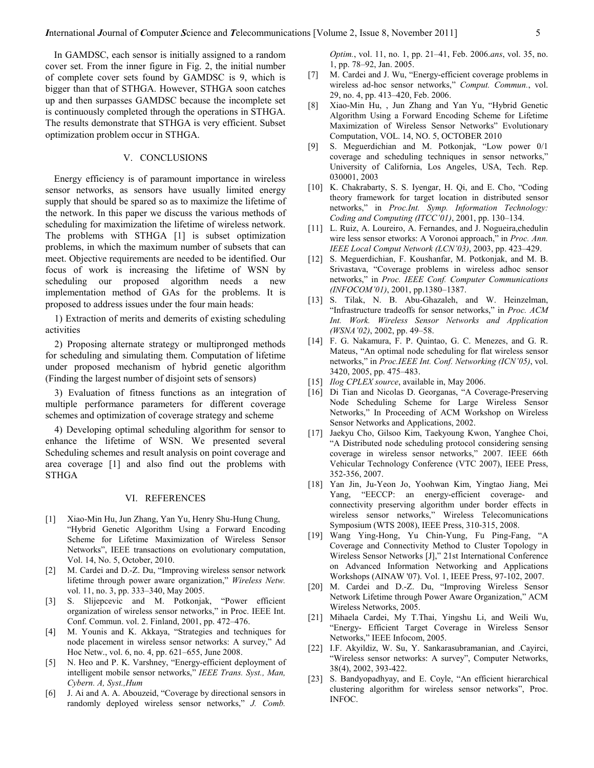In GAMDSC, each sensor is initially assigned to a random cover set. From the inner figure in Fig. 2, the initial number of complete cover sets found by GAMDSC is 9, which is bigger than that of STHGA. However, STHGA soon catches up and then surpasses GAMDSC because the incomplete set is continuously completed through the operations in STHGA. The results demonstrate that STHGA is very efficient. Subset optimization problem occur in STHGA.

## V. CONCLUSIONS

Energy efficiency is of paramount importance in wireless sensor networks, as sensors have usually limited energy supply that should be spared so as to maximize the lifetime of the network. In this paper we discuss the various methods of scheduling for maximization the lifetime of wireless network. The problems with STHGA [1] is subset optimization problems, in which the maximum number of subsets that can meet. Objective requirements are needed to be identified. Our focus of work is increasing the lifetime of WSN by scheduling our proposed algorithm needs a new implementation method of GAs for the problems. It is proposed to address issues under the four main heads:

1) Extraction of merits and demerits of existing scheduling activities

2) Proposing alternate strategy or multipronged methods for scheduling and simulating them. Computation of lifetime under proposed mechanism of hybrid genetic algorithm (Finding the largest number of disjoint sets of sensors)

3) Evaluation of fitness functions as an integration of multiple performance parameters for different coverage schemes and optimization of coverage strategy and scheme

4) Developing optimal scheduling algorithm for sensor to enhance the lifetime of WSN. We presented several Scheduling schemes and result analysis on point coverage and area coverage [1] and also find out the problems with STHGA

#### VI. REFERENCES

- [1] Xiao-Min Hu, Jun Zhang, Yan Yu, Henry Shu-Hung Chung, "Hybrid Genetic Algorithm Using a Forward Encoding Scheme for Lifetime Maximization of Wireless Sensor Networks", IEEE transactions on evolutionary computation, Vol. 14, No. 5, October, 2010.
- M. Cardei and D.-Z. Du, "Improving wireless sensor network lifetime through power aware organization," Wireless Netw. vol. 11, no. 3, pp. 333–340, May 2005.
- [3] S. Slijepcevic and M. Potkonjak, "Power efficient organization of wireless sensor networks," in Proc. IEEE Int. Conf. Commun. vol. 2. Finland, 2001, pp. 472–476.
- [4] M. Younis and K. Akkaya, "Strategies and techniques for node placement in wireless sensor networks: A survey," Ad Hoc Netw., vol. 6, no. 4, pp. 621–655, June 2008.
- [5] N. Heo and P. K. Varshney, "Energy-efficient deployment of intelligent mobile sensor networks," IEEE Trans. Syst., Man, Cybern. A, Syst.,Hum
- [6] J. Ai and A. A. Abouzeid, "Coverage by directional sensors in randomly deployed wireless sensor networks," J. Comb.

Optim., vol. 11, no. 1, pp. 21–41, Feb. 2006.ans, vol. 35, no. 1, pp. 78–92, Jan. 2005.

- [7] M. Cardei and J. Wu, "Energy-efficient coverage problems in wireless ad-hoc sensor networks," Comput. Commun., vol. 29, no. 4, pp. 413–420, Feb. 2006.
- [8] Xiao-Min Hu, , Jun Zhang and Yan Yu, "Hybrid Genetic Algorithm Using a Forward Encoding Scheme for Lifetime Maximization of Wireless Sensor Networks" Evolutionary Computation, VOL. 14, NO. 5, OCTOBER 2010
- [9] S. Meguerdichian and M. Potkonjak, "Low power 0/1 coverage and scheduling techniques in sensor networks," University of California, Los Angeles, USA, Tech. Rep. 030001, 2003
- [10] K. Chakrabarty, S. S. Iyengar, H. Qi, and E. Cho, "Coding theory framework for target location in distributed sensor networks," in Proc.Int. Symp. Information Technology: Coding and Computing (ITCC'01), 2001, pp. 130–134.
- [11] L. Ruiz, A. Loureiro, A. Fernandes, and J. Nogueira, chedulin wire less sensor etworks: A Voronoi approach," in *Proc. Ann.* IEEE Local Comput Network (LCN'03), 2003, pp. 423–429.
- [12] S. Meguerdichian, F. Koushanfar, M. Potkonjak, and M. B. Srivastava, "Coverage problems in wireless adhoc sensor networks," in Proc. IEEE Conf. Computer Communications (INFOCOM'01), 2001, pp.1380–1387.
- [13] S. Tilak, N. B. Abu-Ghazaleh, and W. Heinzelman, "Infrastructure tradeoffs for sensor networks," in Proc. ACM Int. Work. Wireless Sensor Networks and Application (WSNA'02), 2002, pp. 49–58.
- [14] F. G. Nakamura, F. P. Quintao, G. C. Menezes, and G. R. Mateus, "An optimal node scheduling for flat wireless sensor networks," in Proc.IEEE Int. Conf. Networking (ICN'05), vol. 3420, 2005, pp. 475–483.
- [15] *Ilog CPLEX source*, available in, May 2006.
- [16] Di Tian and Nicolas D. Georganas, "A Coverage-Preserving Node Scheduling Scheme for Large Wireless Sensor Networks," In Proceeding of ACM Workshop on Wireless Sensor Networks and Applications, 2002.
- [17] Jaekyu Cho, Gilsoo Kim, Taekyoung Kwon, Yanghee Choi, "A Distributed node scheduling protocol considering sensing coverage in wireless sensor networks," 2007. IEEE 66th Vehicular Technology Conference (VTC 2007), IEEE Press, 352-356, 2007.
- [18] Yan Jin, Ju-Yeon Jo, Yoohwan Kim, Yingtao Jiang, Mei Yang, "EECCP: an energy-efficient coverage- and connectivity preserving algorithm under border effects in wireless sensor networks," Wireless Telecomunications Symposium (WTS 2008), IEEE Press, 310-315, 2008.
- [19] Wang Ying-Hong, Yu Chin-Yung, Fu Ping-Fang, "A Coverage and Connectivity Method to Cluster Topology in Wireless Sensor Networks [J]," 21st International Conference on Advanced Information Networking and Applications Workshops (AINAW '07). Vol. 1, IEEE Press, 97-102, 2007.
- [20] M. Cardei and D.-Z. Du, "Improving Wireless Sensor Network Lifetime through Power Aware Organization," ACM Wireless Networks, 2005.
- [21] Mihaela Cardei, My T.Thai, Yingshu Li, and Weili Wu, "Energy- Efficient Target Coverage in Wireless Sensor Networks," IEEE Infocom, 2005.
- [22] I.F. Akyildiz, W. Su, Y. Sankarasubramanian, and .Cayirci, "Wireless sensor networks: A survey", Computer Networks, 38(4), 2002, 393-422.
- [23] S. Bandyopadhyay, and E. Coyle, "An efficient hierarchical clustering algorithm for wireless sensor networks", Proc. INFOC.